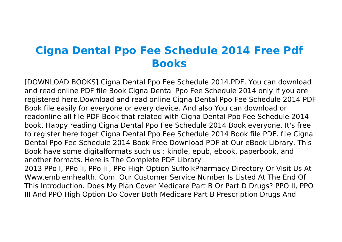## **Cigna Dental Ppo Fee Schedule 2014 Free Pdf Books**

[DOWNLOAD BOOKS] Cigna Dental Ppo Fee Schedule 2014.PDF. You can download and read online PDF file Book Cigna Dental Ppo Fee Schedule 2014 only if you are registered here.Download and read online Cigna Dental Ppo Fee Schedule 2014 PDF Book file easily for everyone or every device. And also You can download or readonline all file PDF Book that related with Cigna Dental Ppo Fee Schedule 2014 book. Happy reading Cigna Dental Ppo Fee Schedule 2014 Book everyone. It's free to register here toget Cigna Dental Ppo Fee Schedule 2014 Book file PDF. file Cigna Dental Ppo Fee Schedule 2014 Book Free Download PDF at Our eBook Library. This Book have some digitalformats such us : kindle, epub, ebook, paperbook, and another formats. Here is The Complete PDF Library 2013 PPo I, PPo Ii, PPo Iii, PPo High Option SuffolkPharmacy Directory Or Visit Us At Www.emblemhealth. Com. Our Customer Service Number Is Listed At The End Of

This Introduction. Does My Plan Cover Medicare Part B Or Part D Drugs? PPO II, PPO III And PPO High Option Do Cover Both Medicare Part B Prescription Drugs And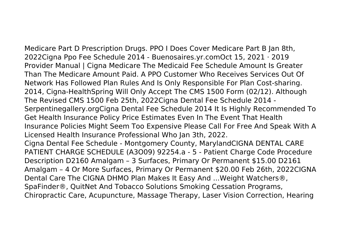Medicare Part D Prescription Drugs. PPO I Does Cover Medicare Part B Jan 8th, 2022Cigna Ppo Fee Schedule 2014 - Buenosaires.yr.comOct 15, 2021 · 2019 Provider Manual | Cigna Medicare The Medicaid Fee Schedule Amount Is Greater Than The Medicare Amount Paid. A PPO Customer Who Receives Services Out Of Network Has Followed Plan Rules And Is Only Responsible For Plan Cost-sharing. 2014, Cigna-HealthSpring Will Only Accept The CMS 1500 Form (02/12). Although The Revised CMS 1500 Feb 25th, 2022Cigna Dental Fee Schedule 2014 - Serpentinegallery.orgCigna Dental Fee Schedule 2014 It Is Highly Recommended To Get Health Insurance Policy Price Estimates Even In The Event That Health Insurance Policies Might Seem Too Expensive Please Call For Free And Speak With A Licensed Health Insurance Professional Who Jan 3th, 2022. Cigna Dental Fee Schedule - Montgomery County, MarylandCIGNA DENTAL CARE PATIENT CHARGE SCHEDULE (A3O09) 92254.a - 5 - Patient Charge Code Procedure Description D2160 Amalgam – 3 Surfaces, Primary Or Permanent \$15.00 D2161 Amalgam – 4 Or More Surfaces, Primary Or Permanent \$20.00 Feb 26th, 2022CIGNA Dental Care The CIGNA DHMO Plan Makes It Easy And ...Weight Watchers®, SpaFinder®, QuitNet And Tobacco Solutions Smoking Cessation Programs, Chiropractic Care, Acupuncture, Massage Therapy, Laser Vision Correction, Hearing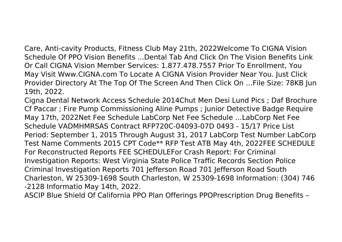Care, Anti-cavity Products, Fitness Club May 21th, 2022Welcome To CIGNA Vision Schedule Of PPO Vision Benefits ...Dental Tab And Click On The Vision Benefits Link Or Call CIGNA Vision Member Services: 1.877.478.7557 Prior To Enrollment, You May Visit Www.CIGNA.com To Locate A CIGNA Vision Provider Near You. Just Click Provider Directory At The Top Of The Screen And Then Click On …File Size: 78KB Jun 19th, 2022.

Cigna Dental Network Access Schedule 2014Chut Men Desi Lund Pics ; Daf Brochure Cf Paccar ; Fire Pump Commissioning Aline Pumps ; Junior Detective Badge Require May 17th, 2022Net Fee Schedule LabCorp Net Fee Schedule …LabCorp Net Fee Schedule VADMHMRSAS Contract RFP720C-04093-07D 0493 - 15/17 Price List Period: September 1, 2015 Through August 31, 2017 LabCorp Test Number LabCorp Test Name Comments 2015 CPT Code\*\* RFP Test ATB May 4th, 2022FEE SCHEDULE For Reconstructed Reports FEE SCHEDULEFor Crash Report: For Criminal Investigation Reports: West Virginia State Police Traffic Records Section Police Criminal Investigation Reports 701 Jefferson Road 701 Jefferson Road South Charleston, W 25309-1698 South Charleston, W 25309-1698 Information: (304) 746 -2128 Informatio May 14th, 2022.

ASCIP Blue Shield Of California PPO Plan Offerings PPOPrescription Drug Benefits –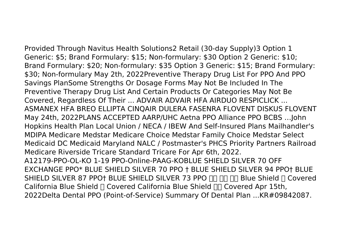Provided Through Navitus Health Solutions2 Retail (30-day Supply)3 Option 1 Generic: \$5; Brand Formulary: \$15; Non-formulary: \$30 Option 2 Generic: \$10; Brand Formulary: \$20; Non-formulary: \$35 Option 3 Generic: \$15; Brand Formulary: \$30; Non-formulary May 2th, 2022Preventive Therapy Drug List For PPO And PPO Savings PlanSome Strengths Or Dosage Forms May Not Be Included In The Preventive Therapy Drug List And Certain Products Or Categories May Not Be Covered, Regardless Of Their ... ADVAIR ADVAIR HFA AIRDUO RESPICLICK ... ASMANEX HFA BREO ELLIPTA CINQAIR DULERA FASENRA FLOVENT DISKUS FLOVENT May 24th, 2022PLANS ACCEPTED AARP/UHC Aetna PPO Alliance PPO BCBS …John Hopkins Health Plan Local Union / NECA / IBEW And Self-Insured Plans Mailhandler's MDIPA Medicare Medstar Medicare Choice Medstar Family Choice Medstar Select Medicaid DC Medicaid Maryland NALC / Postmaster's PHCS Priority Partners Railroad Medicare Riverside Tricare Standard Tricare For Apr 6th, 2022. A12179-PPO-OL-KO 1-19 PPO-Online-PAAG-KOBLUE SHIELD SILVER 70 OFF EXCHANGE PPO\* BLUE SHIELD SILVER 70 PPO † BLUE SHIELD SILVER 94 PPO† BLUE SHIELD SILVER 87 PPO† BLUE SHIELD SILVER 73 PPO **FOR THE Blue Shield I** Covered California Blue Shield ∏ Covered California Blue Shield ∏∏ Covered Apr 15th, 2022Delta Dental PPO (Point-of-Service) Summary Of Dental Plan ...KR#09842087.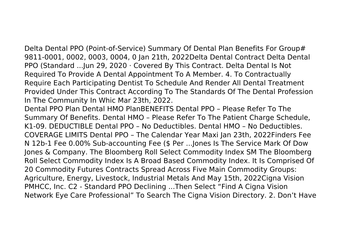Delta Dental PPO (Point-of-Service) Summary Of Dental Plan Benefits For Group# 9811-0001, 0002, 0003, 0004, 0 Jan 21th, 2022Delta Dental Contract Delta Dental PPO (Standard ...Jun 29, 2020 · Covered By This Contract. Delta Dental Is Not Required To Provide A Dental Appointment To A Member. 4. To Contractually Require Each Participating Dentist To Schedule And Render All Dental Treatment Provided Under This Contract According To The Standards Of The Dental Profession In The Community In Whic Mar 23th, 2022.

Dental PPO Plan Dental HMO PlanBENEFITS Dental PPO – Please Refer To The Summary Of Benefits. Dental HMO – Please Refer To The Patient Charge Schedule, K1-09. DEDUCTIBLE Dental PPO – No Deductibles. Dental HMO – No Deductibles. COVERAGE LIMITS Dental PPO – The Calendar Year Maxi Jan 23th, 2022Finders Fee N 12b-1 Fee 0.00% Sub-accounting Fee (\$ Per ...Jones Is The Service Mark Of Dow Jones & Company. The Bloomberg Roll Select Commodity Index SM The Bloomberg Roll Select Commodity Index Is A Broad Based Commodity Index. It Is Comprised Of 20 Commodity Futures Contracts Spread Across Five Main Commodity Groups: Agriculture, Energy, Livestock, Industrial Metals And May 15th, 2022Cigna Vision PMHCC, Inc. C2 - Standard PPO Declining ...Then Select "Find A Cigna Vision Network Eye Care Professional" To Search The Cigna Vision Directory. 2. Don't Have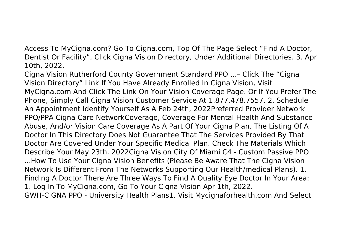Access To MyCigna.com? Go To Cigna.com, Top Of The Page Select "Find A Doctor, Dentist Or Facility", Click Cigna Vision Directory, Under Additional Directories. 3. Apr 10th, 2022.

Cigna Vision Rutherford County Government Standard PPO ...– Click The "Cigna Vision Directory" Link If You Have Already Enrolled In Cigna Vision, Visit MyCigna.com And Click The Link On Your Vision Coverage Page. Or If You Prefer The Phone, Simply Call Cigna Vision Customer Service At 1.877.478.7557. 2. Schedule An Appointment Identify Yourself As A Feb 24th, 2022Preferred Provider Network PPO/PPA Cigna Care NetworkCoverage, Coverage For Mental Health And Substance Abuse, And/or Vision Care Coverage As A Part Of Your Cigna Plan. The Listing Of A Doctor In This Directory Does Not Guarantee That The Services Provided By That Doctor Are Covered Under Your Specific Medical Plan. Check The Materials Which Describe Your May 23th, 2022Cigna Vision City Of Miami C4 - Custom Passive PPO ...How To Use Your Cigna Vision Benefits (Please Be Aware That The Cigna Vision Network Is Different From The Networks Supporting Our Health/medical Plans). 1. Finding A Doctor There Are Three Ways To Find A Quality Eye Doctor In Your Area: 1. Log In To MyCigna.com, Go To Your Cigna Vision Apr 1th, 2022. GWH-CIGNA PPO - University Health Plans1. Visit Mycignaforhealth.com And Select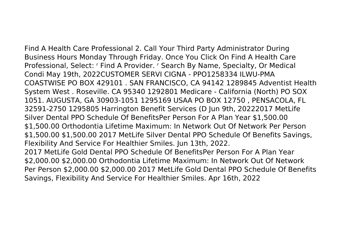Find A Health Care Professional 2. Call Your Third Party Administrator During Business Hours Monday Through Friday. Once You Click On Find A Health Care Professional, Select: r Find A Provider. r Search By Name, Specialty, Or Medical Condi May 19th, 2022CUSTOMER SERVI CIGNA - PPO1258334 ILWU-PMA COASTWISE PO BOX 429101 . SAN FRANCISCO, CA 94142 1289845 Adventist Health System West . Roseville. CA 95340 1292801 Medicare - California (North) PO SOX 1051. AUGUSTA, GA 30903-1051 1295169 USAA PO BOX 12750 , PENSACOLA, FL 32591-2750 1295805 Harrington Benefit Services (D Jun 9th, 20222017 MetLife Silver Dental PPO Schedule Of BenefitsPer Person For A Plan Year \$1,500.00 \$1,500.00 Orthodontia Lifetime Maximum: In Network Out Of Network Per Person \$1,500.00 \$1,500.00 2017 MetLife Silver Dental PPO Schedule Of Benefits Savings, Flexibility And Service For Healthier Smiles. Jun 13th, 2022. 2017 MetLife Gold Dental PPO Schedule Of BenefitsPer Person For A Plan Year \$2,000.00 \$2,000.00 Orthodontia Lifetime Maximum: In Network Out Of Network Per Person \$2,000.00 \$2,000.00 2017 MetLife Gold Dental PPO Schedule Of Benefits Savings, Flexibility And Service For Healthier Smiles. Apr 16th, 2022